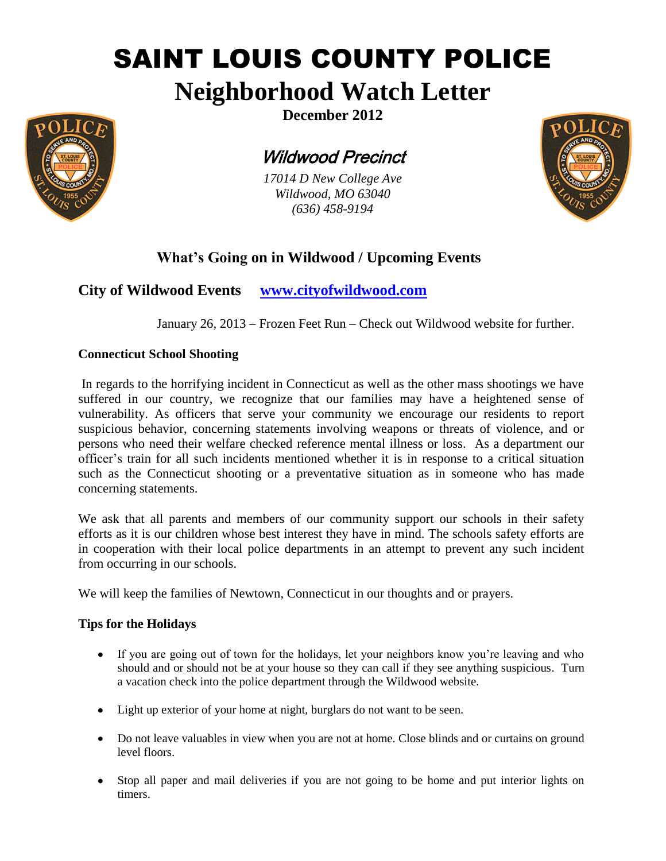# SAINT LOUIS COUNTY POLICE

# **Neighborhood Watch Letter**



Wildwood Precinct

*17014 D New College Ave Wildwood, MO 63040 (636) 458-9194*



## **What's Going on in Wildwood / Upcoming Events**

**City of Wildwood Events [www.cityofwildwood.com](http://www.cityofwildwood.com/)**

January 26, 2013 – Frozen Feet Run – Check out Wildwood website for further.

#### **Connecticut School Shooting**

In regards to the horrifying incident in Connecticut as well as the other mass shootings we have suffered in our country, we recognize that our families may have a heightened sense of vulnerability. As officers that serve your community we encourage our residents to report suspicious behavior, concerning statements involving weapons or threats of violence, and or persons who need their welfare checked reference mental illness or loss. As a department our officer's train for all such incidents mentioned whether it is in response to a critical situation such as the Connecticut shooting or a preventative situation as in someone who has made concerning statements.

We ask that all parents and members of our community support our schools in their safety efforts as it is our children whose best interest they have in mind. The schools safety efforts are in cooperation with their local police departments in an attempt to prevent any such incident from occurring in our schools.

We will keep the families of Newtown, Connecticut in our thoughts and or prayers.

#### **Tips for the Holidays**

- If you are going out of town for the holidays, let your neighbors know you're leaving and who should and or should not be at your house so they can call if they see anything suspicious. Turn a vacation check into the police department through the Wildwood website.
- Light up exterior of your home at night, burglars do not want to be seen.
- Do not leave valuables in view when you are not at home. Close blinds and or curtains on ground level floors.
- Stop all paper and mail deliveries if you are not going to be home and put interior lights on timers.

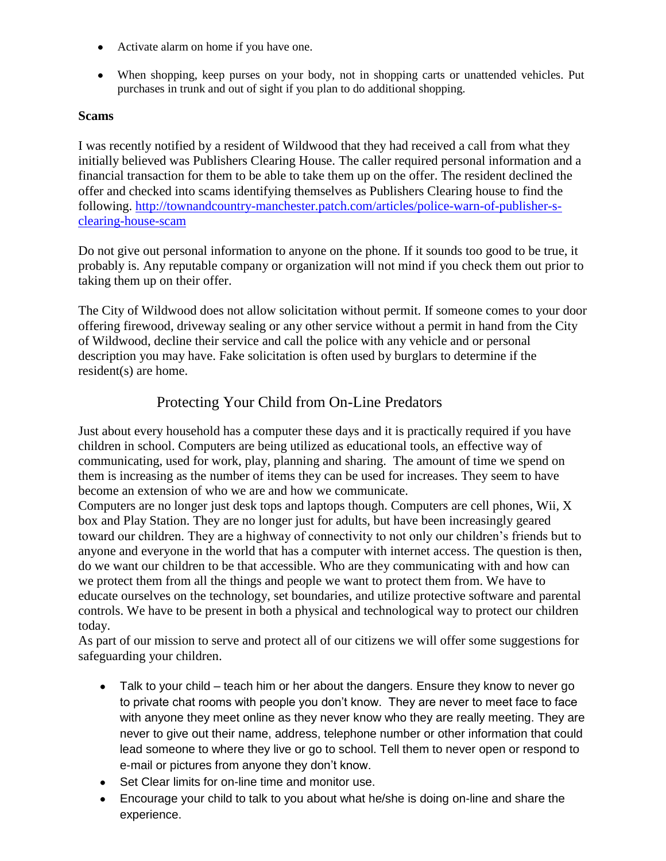- Activate alarm on home if you have one.
- When shopping, keep purses on your body, not in shopping carts or unattended vehicles. Put purchases in trunk and out of sight if you plan to do additional shopping.

#### **Scams**

I was recently notified by a resident of Wildwood that they had received a call from what they initially believed was Publishers Clearing House. The caller required personal information and a financial transaction for them to be able to take them up on the offer. The resident declined the offer and checked into scams identifying themselves as Publishers Clearing house to find the following. [http://townandcountry-manchester.patch.com/articles/police-warn-of-publisher-s](https://owa.stlouisco.com/owa/redir.aspx?C=Jg3FVoGDtEu_3B8OSsTkwGolMM_HrM9IOrucTOL23z9Mr0cUJ9BJrhxg28FUZoLoENYcG03hYXI.&URL=http%3a%2f%2ftownandcountry-manchester.patch.com%2farticles%2fpolice-warn-of-publisher-s-clearing-house-scam)[clearing-house-scam](https://owa.stlouisco.com/owa/redir.aspx?C=Jg3FVoGDtEu_3B8OSsTkwGolMM_HrM9IOrucTOL23z9Mr0cUJ9BJrhxg28FUZoLoENYcG03hYXI.&URL=http%3a%2f%2ftownandcountry-manchester.patch.com%2farticles%2fpolice-warn-of-publisher-s-clearing-house-scam)

Do not give out personal information to anyone on the phone. If it sounds too good to be true, it probably is. Any reputable company or organization will not mind if you check them out prior to taking them up on their offer.

The City of Wildwood does not allow solicitation without permit. If someone comes to your door offering firewood, driveway sealing or any other service without a permit in hand from the City of Wildwood, decline their service and call the police with any vehicle and or personal description you may have. Fake solicitation is often used by burglars to determine if the resident(s) are home.

### Protecting Your Child from On-Line Predators

Just about every household has a computer these days and it is practically required if you have children in school. Computers are being utilized as educational tools, an effective way of communicating, used for work, play, planning and sharing. The amount of time we spend on them is increasing as the number of items they can be used for increases. They seem to have become an extension of who we are and how we communicate.

Computers are no longer just desk tops and laptops though. Computers are cell phones, Wii, X box and Play Station. They are no longer just for adults, but have been increasingly geared toward our children. They are a highway of connectivity to not only our children's friends but to anyone and everyone in the world that has a computer with internet access. The question is then, do we want our children to be that accessible. Who are they communicating with and how can we protect them from all the things and people we want to protect them from. We have to educate ourselves on the technology, set boundaries, and utilize protective software and parental controls. We have to be present in both a physical and technological way to protect our children today.

As part of our mission to serve and protect all of our citizens we will offer some suggestions for safeguarding your children.

- Talk to your child teach him or her about the dangers. Ensure they know to never go to private chat rooms with people you don't know. They are never to meet face to face with anyone they meet online as they never know who they are really meeting. They are never to give out their name, address, telephone number or other information that could lead someone to where they live or go to school. Tell them to never open or respond to e-mail or pictures from anyone they don't know.
- Set Clear limits for on-line time and monitor use.
- Encourage your child to talk to you about what he/she is doing on-line and share the experience.